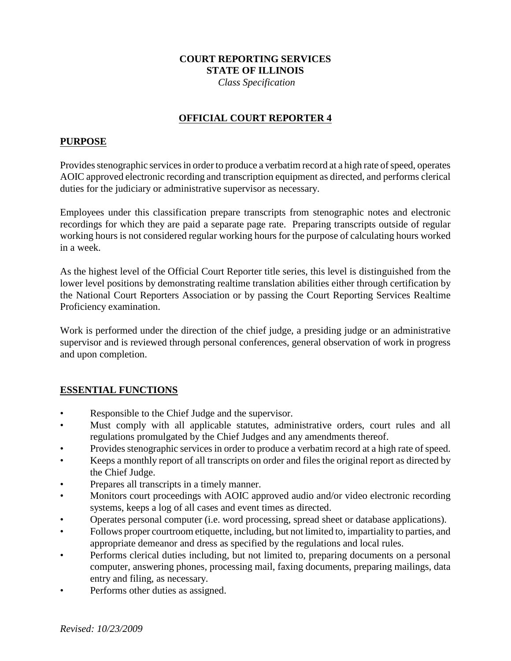### **COURT REPORTING SERVICES STATE OF ILLINOIS**

 *Class Specification*

### **OFFICIAL COURT REPORTER 4**

#### **PURPOSE**

Provides stenographic services in order to produce a verbatim record at a high rate of speed, operates AOIC approved electronic recording and transcription equipment as directed, and performs clerical duties for the judiciary or administrative supervisor as necessary.

Employees under this classification prepare transcripts from stenographic notes and electronic recordings for which they are paid a separate page rate. Preparing transcripts outside of regular working hours is not considered regular working hours for the purpose of calculating hours worked in a week.

As the highest level of the Official Court Reporter title series, this level is distinguished from the lower level positions by demonstrating realtime translation abilities either through certification by the National Court Reporters Association or by passing the Court Reporting Services Realtime Proficiency examination.

Work is performed under the direction of the chief judge, a presiding judge or an administrative supervisor and is reviewed through personal conferences, general observation of work in progress and upon completion.

### **ESSENTIAL FUNCTIONS**

- Responsible to the Chief Judge and the supervisor.
- Must comply with all applicable statutes, administrative orders, court rules and all regulations promulgated by the Chief Judges and any amendments thereof.
- Provides stenographic services in order to produce a verbatim record at a high rate of speed.
- Keeps a monthly report of all transcripts on order and files the original report as directed by the Chief Judge.
- Prepares all transcripts in a timely manner.
- Monitors court proceedings with AOIC approved audio and/or video electronic recording systems, keeps a log of all cases and event times as directed.
- Operates personal computer (i.e. word processing, spread sheet or database applications).
- Follows proper courtroom etiquette, including, but not limited to, impartiality to parties, and appropriate demeanor and dress as specified by the regulations and local rules.
- Performs clerical duties including, but not limited to, preparing documents on a personal computer, answering phones, processing mail, faxing documents, preparing mailings, data entry and filing, as necessary.
- Performs other duties as assigned.